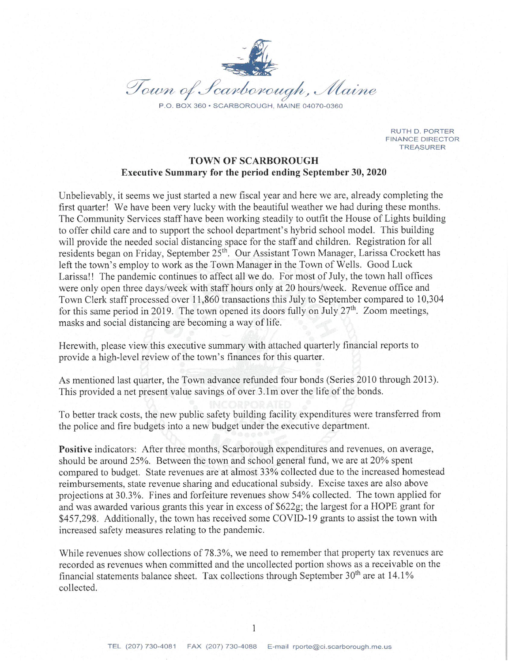

**RUTH D. PORTER FINANCE DIRECTOR TREASURER** 

## **TOWN OF SCARBOROUGH Executive Summary for the period ending September 30, 2020**

Unbelievably, it seems we just started a new fiscal year and here we are, already completing the first quarter! We have been very lucky with the beautiful weather we had during these months. The Community Services staff have been working steadily to outfit the House of Lights building to offer child care and to support the school department's hybrid school model. This building will provide the needed social distancing space for the staff and children. Registration for all residents began on Friday, September 25<sup>th</sup>. Our Assistant Town Manager, Larissa Crockett has left the town's employ to work as the Town Manager in the Town of Wells. Good Luck Larissa!! The pandemic continues to affect all we do. For most of July, the town hall offices were only open three days/week with staff hours only at 20 hours/week. Revenue office and Town Clerk staff processed over 11,860 transactions this July to September compared to 10,304 for this same period in 2019. The town opened its doors fully on July  $27<sup>th</sup>$ . Zoom meetings, masks and social distancing are becoming a way of life.

Herewith, please view this executive summary with attached quarterly financial reports to provide a high-level review of the town's finances for this quarter.

As mentioned last quarter, the Town advance refunded four bonds (Series 2010 through 2013). This provided a net present value savings of over 3.1m over the life of the bonds.

To better track costs, the new public safety building facility expenditures were transferred from the police and fire budgets into a new budget under the executive department.

**Positive** indicators: After three months, Scarborough expenditures and revenues, on average, should be around 25%. Between the town and school general fund, we are at 20% spent compared to budget. State revenues are at almost 33% collected due to the increased homestead reimbursements, state revenue sharing and educational subsidy. Excise taxes are also above projections at 30.3%. Fines and forfeiture revenues show 54% collected. The town applied for and was awarded various grants this year in excess of \$622g; the largest for a HOPE grant for \$457,298. Additionally, the town has received some COVID-19 grants to assist the town with increased safety measures relating to the pandemic.

While revenues show collections of 78.3%, we need to remember that property tax revenues are recorded as revenues when committed and the uncollected portion shows as a receivable on the financial statements balance sheet. Tax collections through September 30<sup>th</sup> are at 14.1% collected.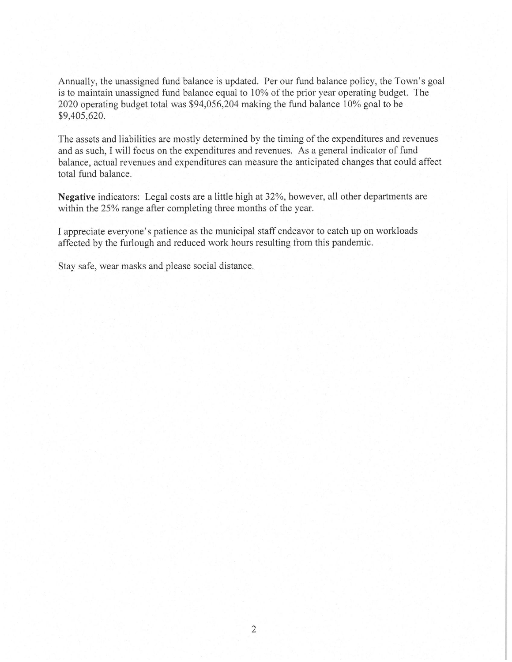Annually, the unassigned fund balance is updated. Per our fund balance policy, the Town's goal is to maintain unassigned fund balance equal to 10% of the prior year operating budget. The 2020 operating budget total was \$94,056,204 making the fund balance 10% goal to be \$9,405,620.

The assets and liabilities are mostly determined by the timing of the expenditures and revenues and as such, I will focus on the expenditures and revenues. As a general indicator of fund balance, actual revenues and expenditures can measure the anticipated changes that could affect total fund balance.

Negative indicators: Legal costs are a little high at 32%, however, all other departments are within the 25% range after completing three months of the year.

I appreciate everyone's patience as the municipal staff endeavor to catch up on workloads affected by the furlough and reduced work hours resulting from this pandemic.

Stay safe, wear masks and please social distance.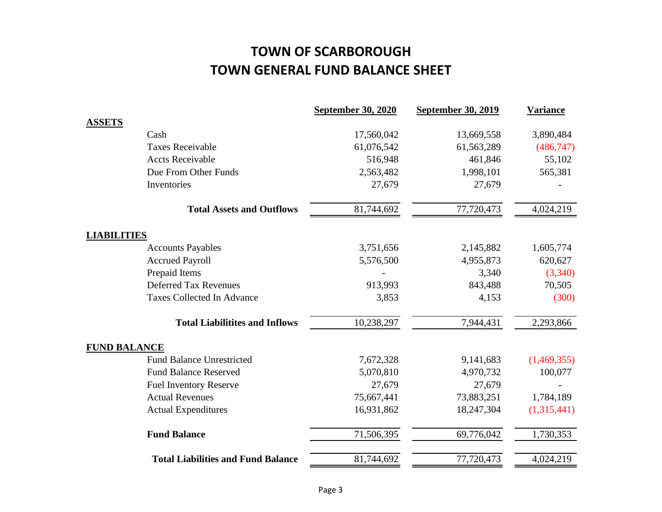# **TOWN OF SCARBOROUGH TOWN GENERAL FUND BALANCE SHEET**

|                     |                                           | <b>September 30, 2020</b> | <b>September 30, 2019</b> | <b>Variance</b> |
|---------------------|-------------------------------------------|---------------------------|---------------------------|-----------------|
| <b>ASSETS</b>       |                                           |                           |                           |                 |
|                     | Cash                                      | 17,560,042                | 13,669,558                | 3,890,484       |
|                     | <b>Taxes Receivable</b>                   | 61,076,542                | 61,563,289                | (486, 747)      |
|                     | <b>Accts Receivable</b>                   | 516,948                   | 461,846                   | 55,102          |
|                     | Due From Other Funds                      | 2,563,482                 | 1,998,101                 | 565,381         |
|                     | Inventories                               | 27,679                    | 27,679                    |                 |
|                     | <b>Total Assets and Outflows</b>          | 81,744,692                | 77,720,473                | 4,024,219       |
| <b>LIABILITIES</b>  |                                           |                           |                           |                 |
|                     | <b>Accounts Payables</b>                  | 3,751,656                 | 2,145,882                 | 1,605,774       |
|                     | <b>Accrued Payroll</b>                    | 5,576,500                 | 4,955,873                 | 620,627         |
|                     | Prepaid Items                             |                           | 3,340                     | (3,340)         |
|                     | <b>Deferred Tax Revenues</b>              | 913,993                   | 843,488                   | 70,505          |
|                     | <b>Taxes Collected In Advance</b>         | 3,853                     | 4,153                     | (300)           |
|                     | <b>Total Liabilitites and Inflows</b>     | 10,238,297                | 7,944,431                 | 2,293,866       |
| <b>FUND BALANCE</b> |                                           |                           |                           |                 |
|                     | <b>Fund Balance Unrestricted</b>          | 7,672,328                 | 9,141,683                 | (1,469,355)     |
|                     | <b>Fund Balance Reserved</b>              | 5,070,810                 | 4,970,732                 | 100,077         |
|                     | <b>Fuel Inventory Reserve</b>             | 27,679                    | 27,679                    |                 |
|                     | <b>Actual Revenues</b>                    | 75,667,441                | 73,883,251                | 1,784,189       |
|                     | <b>Actual Expenditures</b>                | 16,931,862                | 18,247,304                | (1,315,441)     |
|                     | <b>Fund Balance</b>                       | 71,506,395                | 69,776,042                | 1,730,353       |
|                     | <b>Total Liabilities and Fund Balance</b> | 81,744,692                | 77,720,473                | 4,024,219       |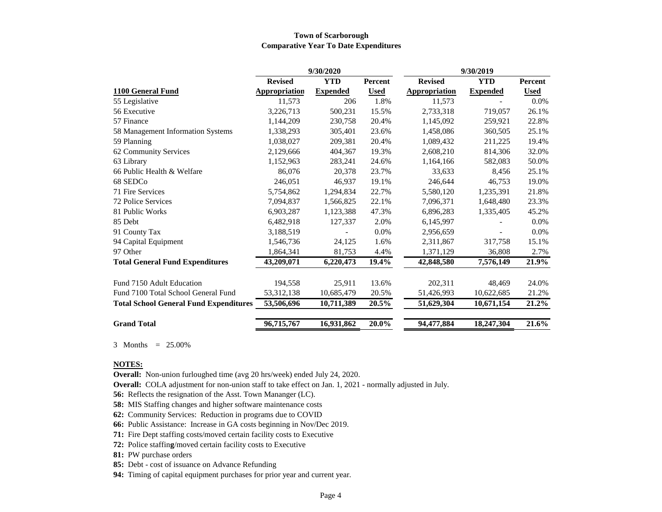#### **Town of Scarborough Comparative Year To Date Expenditures**

|                                               |                      | 9/30/2020       |             | 9/30/2019            |                 |             |
|-----------------------------------------------|----------------------|-----------------|-------------|----------------------|-----------------|-------------|
|                                               | <b>Revised</b>       | <b>YTD</b>      | Percent     | <b>Revised</b>       | <b>YTD</b>      | Percent     |
| 1100 General Fund                             | <b>Appropriation</b> | <b>Expended</b> | <b>Used</b> | <b>Appropriation</b> | <b>Expended</b> | <b>Used</b> |
| 55 Legislative                                | 11,573               | 206             | 1.8%        | 11,573               |                 | 0.0%        |
| 56 Executive                                  | 3,226,713            | 500,231         | 15.5%       | 2,733,318            | 719,057         | 26.1%       |
| 57 Finance                                    | 1,144,209            | 230,758         | 20.4%       | 1,145,092            | 259,921         | 22.8%       |
| 58 Management Information Systems             | 1,338,293            | 305,401         | 23.6%       | 1,458,086            | 360,505         | 25.1%       |
| 59 Planning                                   | 1,038,027            | 209,381         | 20.4%       | 1,089,432            | 211,225         | 19.4%       |
| 62 Community Services                         | 2,129,666            | 404,367         | 19.3%       | 2,608,210            | 814,306         | 32.0%       |
| 63 Library                                    | 1,152,963            | 283,241         | 24.6%       | 1,164,166            | 582,083         | 50.0%       |
| 66 Public Health & Welfare                    | 86,076               | 20,378          | 23.7%       | 33,633               | 8,456           | 25.1%       |
| 68 SEDCo                                      | 246,051              | 46,937          | 19.1%       | 246,644              | 46,753          | 19.0%       |
| 71 Fire Services                              | 5,754,862            | 1,294,834       | 22.7%       | 5,580,120            | 1,235,391       | 21.8%       |
| 72 Police Services                            | 7,094,837            | 1,566,825       | 22.1%       | 7,096,371            | 1,648,480       | 23.3%       |
| 81 Public Works                               | 6,903,287            | 1,123,388       | 47.3%       | 6,896,283            | 1,335,405       | 45.2%       |
| 85 Debt                                       | 6,482,918            | 127,337         | 2.0%        | 6,145,997            |                 | 0.0%        |
| 91 County Tax                                 | 3,188,519            |                 | 0.0%        | 2,956,659            |                 | 0.0%        |
| 94 Capital Equipment                          | 1,546,736            | 24,125          | 1.6%        | 2,311,867            | 317,758         | 15.1%       |
| 97 Other                                      | 1,864,341            | 81,753          | 4.4%        | 1,371,129            | 36,808          | 2.7%        |
| <b>Total General Fund Expenditures</b>        | 43,209,071           | 6,220,473       | 19.4%       | 42,848,580           | 7,576,149       | 21.9%       |
| Fund 7150 Adult Education                     | 194,558              | 25,911          | 13.6%       | 202,311              | 48,469          | 24.0%       |
| Fund 7100 Total School General Fund           | 53, 312, 138         | 10,685,479      | 20.5%       | 51,426,993           | 10,622,685      | 21.2%       |
| <b>Total School General Fund Expenditures</b> | 53,506,696           | 10,711,389      | 20.5%       | 51,629,304           | 10,671,154      | 21.2%       |
| <b>Grand Total</b>                            | 96,715,767           | 16,931,862      | 20.0%       | 94,477,884           | 18,247,304      | 21.6%       |

3 Months = 25.00%

#### **NOTES:**

**Overall:** Non-union furloughed time (avg 20 hrs/week) ended July 24, 2020.

**Overall:** COLA adjustment for non-union staff to take effect on Jan. 1, 2021 - normally adjusted in July.

**56:** Reflects the resignation of the Asst. Town Mananger (LC).

**58:** MIS Staffing changes and higher software maintenance costs

**62:** Community Services: Reduction in programs due to COVID

- **66:** Public Assistance: Increase in GA costs beginning in Nov/Dec 2019.
- **71:** Fire Dept staffing costs/moved certain facility costs to Executive

**72:** Police staffin**g**/moved certain facility costs to Executive

**81:** PW purchase orders

- **85:** Debt cost of issuance on Advance Refunding
- **94:** Timing of capital equipment purchases for prior year and current year.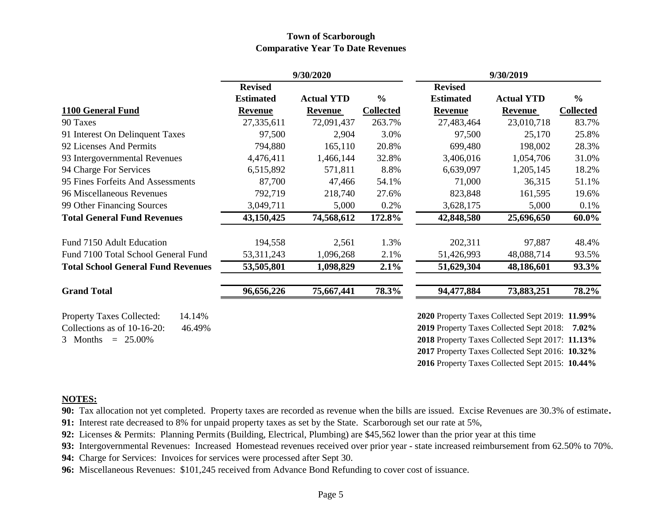### **Town of Scarborough Comparative Year To Date Revenues**

|                                            | 9/30/2020        |                   | 9/30/2019        |                                                 |                   |                  |
|--------------------------------------------|------------------|-------------------|------------------|-------------------------------------------------|-------------------|------------------|
|                                            | <b>Revised</b>   |                   |                  | <b>Revised</b>                                  |                   |                  |
|                                            | <b>Estimated</b> | <b>Actual YTD</b> | $\frac{6}{6}$    | <b>Estimated</b>                                | <b>Actual YTD</b> | $\frac{6}{6}$    |
| 1100 General Fund                          | <b>Revenue</b>   | <b>Revenue</b>    | <b>Collected</b> | <b>Revenue</b>                                  | <b>Revenue</b>    | <b>Collected</b> |
| 90 Taxes                                   | 27,335,611       | 72,091,437        | 263.7%           | 27,483,464                                      | 23,010,718        | 83.7%            |
| 91 Interest On Delinquent Taxes            | 97,500           | 2,904             | 3.0%             | 97,500                                          | 25,170            | 25.8%            |
| 92 Licenses And Permits                    | 794,880          | 165,110           | 20.8%            | 699,480                                         | 198,002           | 28.3%            |
| 93 Intergovernmental Revenues              | 4,476,411        | 1,466,144         | 32.8%            | 3,406,016                                       | 1,054,706         | 31.0%            |
| 94 Charge For Services                     | 6,515,892        | 571,811           | 8.8%             | 6,639,097                                       | 1,205,145         | 18.2%            |
| 95 Fines Forfeits And Assessments          | 87,700           | 47,466            | 54.1%            | 71,000                                          | 36,315            | 51.1%            |
| 96 Miscellaneous Revenues                  | 792,719          | 218,740           | 27.6%            | 823,848                                         | 161,595           | 19.6%            |
| 99 Other Financing Sources                 | 3,049,711        | 5,000             | 0.2%             | 3,628,175                                       | 5,000             | 0.1%             |
| <b>Total General Fund Revenues</b>         | 43,150,425       | 74,568,612        | 172.8%           | 42,848,580                                      | 25,696,650        | 60.0%            |
| Fund 7150 Adult Education                  | 194,558          | 2,561             | 1.3%             | 202,311                                         | 97,887            | 48.4%            |
| Fund 7100 Total School General Fund        | 53, 311, 243     | 1,096,268         | 2.1%             | 51,426,993                                      | 48,088,714        | 93.5%            |
| <b>Total School General Fund Revenues</b>  | 53,505,801       | 1,098,829         | 2.1%             | 51,629,304                                      | 48,186,601        | 93.3%            |
| <b>Grand Total</b>                         | 96,656,226       | 75,667,441        | 78.3%            | 94,477,884                                      | 73,883,251        | 78.2%            |
| <b>Property Taxes Collected:</b><br>14.14% |                  |                   |                  | 2020 Property Taxes Collected Sept 2019: 11.99% |                   |                  |
| Collections as of 10-16-20:<br>46.49%      |                  |                   |                  | 2019 Property Taxes Collected Sept 2018:        |                   | $7.02\%$         |
| 3 Months<br>$= 25.00\%$                    |                  |                   |                  | 2018 Property Taxes Collected Sept 2017: 11.13% |                   |                  |
|                                            |                  |                   |                  | 2017 Property Taxes Collected Sept 2016: 10.32% |                   |                  |

**2016** Property Taxes Collected Sept 2015: **10.44%**

### **NOTES:**

**90:** Tax allocation not yet completed. Property taxes are recorded as revenue when the bills are issued. Excise Revenues are 30.3% of estimate**.**

**91:** Interest rate decreased to 8% for unpaid property taxes as set by the State. Scarborough set our rate at 5%,

**92:** Licenses & Permits: Planning Permits (Building, Electrical, Plumbing) are \$45,562 lower than the prior year at this time

**93:** Intergovernmental Revenues: Increased Homestead revenues received over prior year - state increased reimbursement from 62.50% to 70%.

**94:** Charge for Services: Invoices for services were processed after Sept 30.

**96:** Miscellaneous Revenues: \$101,245 received from Advance Bond Refunding to cover cost of issuance.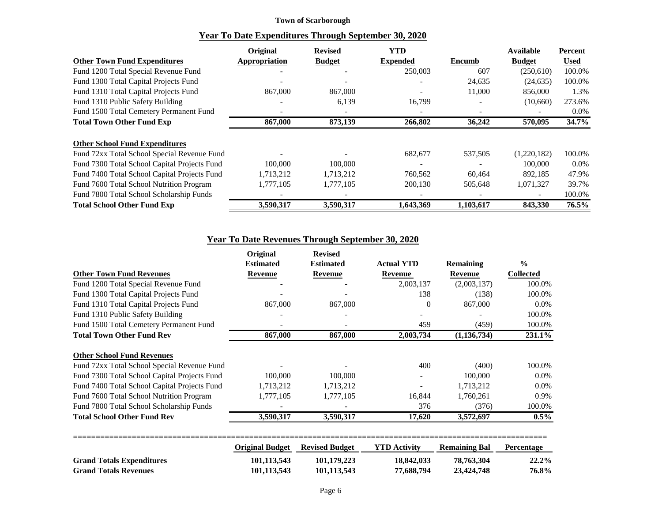#### **Town of Scarborough**

|                                              | Original             | <b>Revised</b> | <b>YTD</b>               |           | <b>Available</b> | Percent     |
|----------------------------------------------|----------------------|----------------|--------------------------|-----------|------------------|-------------|
| <b>Other Town Fund Expenditures</b>          | <b>Appropriation</b> | <b>Budget</b>  | <b>Expended</b>          | Encumb    | <b>Budget</b>    | <b>Used</b> |
| Fund 1200 Total Special Revenue Fund         |                      |                | 250,003                  | 607       | (250,610)        | 100.0%      |
| Fund 1300 Total Capital Projects Fund        |                      |                |                          | 24,635    | (24, 635)        | 100.0%      |
| Fund 1310 Total Capital Projects Fund        | 867,000              | 867,000        | $\overline{\phantom{a}}$ | 11,000    | 856,000          | 1.3%        |
| Fund 1310 Public Safety Building             |                      | 6,139          | 16,799                   |           | (10,660)         | 273.6%      |
| Fund 1500 Total Cemetery Permanent Fund      |                      |                |                          |           |                  | $0.0\%$     |
| <b>Total Town Other Fund Exp</b>             | 867,000              | 873,139        | 266,802                  | 36,242    | 570,095          | 34.7%       |
|                                              |                      |                |                          |           |                  |             |
| <b>Other School Fund Expenditures</b>        |                      |                |                          |           |                  |             |
| Fund 72xx Total School Special Revenue Fund  |                      |                | 682,677                  | 537,505   | (1,220,182)      | 100.0%      |
| Fund 7300 Total School Capital Projects Fund | 100,000              | 100,000        |                          |           | 100,000          | $0.0\%$     |
| Fund 7400 Total School Capital Projects Fund | 1,713,212            | 1,713,212      | 760,562                  | 60,464    | 892,185          | 47.9%       |
| Fund 7600 Total School Nutrition Program     | 1,777,105            | 1,777,105      | 200,130                  | 505,648   | 1,071,327        | 39.7%       |
| Fund 7800 Total School Scholarship Funds     |                      |                |                          |           |                  | 100.0%      |
| <b>Total School Other Fund Exp</b>           | 3,590,317            | 3,590,317      | 1,643,369                | 1,103,617 | 843,330          | 76.5%       |

# **Year To Date Revenues Through September 30, 2020**

|                                              | Original               | <b>Revised</b>        |                     |                      |                   |
|----------------------------------------------|------------------------|-----------------------|---------------------|----------------------|-------------------|
|                                              | <b>Estimated</b>       | <b>Estimated</b>      | <b>Actual YTD</b>   | <b>Remaining</b>     | $\frac{0}{0}$     |
| <b>Other Town Fund Revenues</b>              | Revenue                | Revenue               | Revenue             | <b>Revenue</b>       | <b>Collected</b>  |
| Fund 1200 Total Special Revenue Fund         |                        |                       | 2,003,137           | (2,003,137)          | 100.0%            |
| Fund 1300 Total Capital Projects Fund        |                        |                       | 138                 | (138)                | 100.0%            |
| Fund 1310 Total Capital Projects Fund        | 867,000                | 867,000               | $\Omega$            | 867,000              | $0.0\%$           |
| Fund 1310 Public Safety Building             |                        |                       |                     |                      | 100.0%            |
| Fund 1500 Total Cemetery Permanent Fund      |                        |                       | 459                 | (459)                | 100.0%            |
| <b>Total Town Other Fund Rev</b>             | 867,000                | 867,000               | 2,003,734           | (1, 136, 734)        | 231.1%            |
| <b>Other School Fund Revenues</b>            |                        |                       |                     |                      |                   |
| Fund 72xx Total School Special Revenue Fund  |                        |                       | 400                 | (400)                | 100.0%            |
| Fund 7300 Total School Capital Projects Fund | 100,000                | 100,000               |                     | 100,000              | $0.0\%$           |
| Fund 7400 Total School Capital Projects Fund | 1,713,212              | 1,713,212             |                     | 1,713,212            | $0.0\%$           |
| Fund 7600 Total School Nutrition Program     | 1,777,105              | 1,777,105             | 16,844              | 1,760,261            | 0.9%              |
| Fund 7800 Total School Scholarship Funds     |                        |                       | 376                 | (376)                | 100.0%            |
| <b>Total School Other Fund Rev</b>           | 3,590,317              | 3,590,317             | 17,620              | 3,572,697            | $0.5\%$           |
|                                              | <b>Original Budget</b> | <b>Revised Budget</b> | <b>YTD Activity</b> | <b>Remaining Bal</b> | <b>Percentage</b> |
| <b>Grand Totals Expenditures</b>             | 101,113,543            | 101,179,223           | 18,842,033          | 78,763,304           | $22.2\%$          |

**Grand Totals Revenues 101,113,543 101,113,543 77,688,794 23,424,748 76.8%**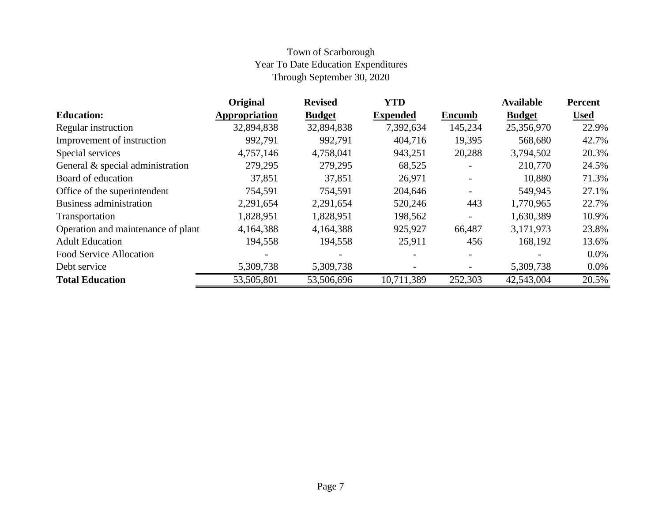# Town of Scarborough Year To Date Education Expenditures Through September 30, 2020

|                                    | Original      | <b>Revised</b> | <b>YTD</b>      |               | <b>Available</b> | <b>Percent</b> |
|------------------------------------|---------------|----------------|-----------------|---------------|------------------|----------------|
| <b>Education:</b>                  | Appropriation | <b>Budget</b>  | <b>Expended</b> | <b>Encumb</b> | <b>Budget</b>    | <b>Used</b>    |
| Regular instruction                | 32,894,838    | 32,894,838     | 7,392,634       | 145,234       | 25,356,970       | 22.9%          |
| Improvement of instruction         | 992,791       | 992,791        | 404,716         | 19,395        | 568,680          | 42.7%          |
| Special services                   | 4,757,146     | 4,758,041      | 943,251         | 20,288        | 3,794,502        | 20.3%          |
| General & special administration   | 279,295       | 279,295        | 68,525          |               | 210,770          | 24.5%          |
| Board of education                 | 37,851        | 37,851         | 26,971          |               | 10,880           | 71.3%          |
| Office of the superintendent       | 754,591       | 754,591        | 204,646         |               | 549,945          | 27.1%          |
| Business administration            | 2,291,654     | 2,291,654      | 520,246         | 443           | 1,770,965        | 22.7%          |
| Transportation                     | 1,828,951     | 1,828,951      | 198,562         |               | 1,630,389        | 10.9%          |
| Operation and maintenance of plant | 4,164,388     | 4,164,388      | 925,927         | 66,487        | 3,171,973        | 23.8%          |
| <b>Adult Education</b>             | 194,558       | 194,558        | 25,911          | 456           | 168,192          | 13.6%          |
| <b>Food Service Allocation</b>     |               |                |                 |               |                  | $0.0\%$        |
| Debt service                       | 5,309,738     | 5,309,738      |                 |               | 5,309,738        | $0.0\%$        |
| <b>Total Education</b>             | 53,505,801    | 53,506,696     | 10,711,389      | 252,303       | 42,543,004       | 20.5%          |